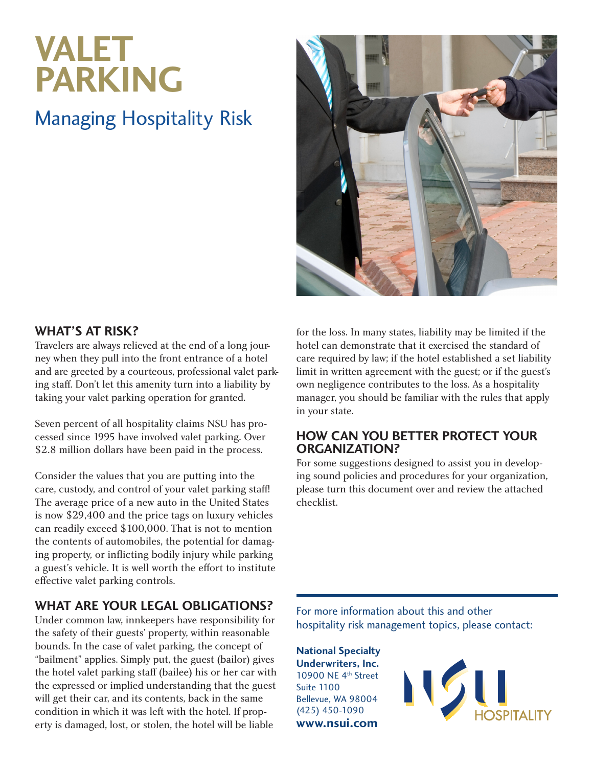# **VALET PARKING**

## Managing Hospitality Risk



#### **What's at risk?**

Travelers are always relieved at the end of a long journey when they pull into the front entrance of a hotel and are greeted by a courteous, professional valet parking staff. Don't let this amenity turn into a liability by taking your valet parking operation for granted.

Seven percent of all hospitality claims NSU has processed since 1995 have involved valet parking. Over \$2.8 million dollars have been paid in the process.

Consider the values that you are putting into the care, custody, and control of your valet parking staff! The average price of a new auto in the United States is now \$29,400 and the price tags on luxury vehicles can readily exceed \$100,000. That is not to mention the contents of automobiles, the potential for damaging property, or inflicting bodily injury while parking a guest's vehicle. It is well worth the effort to institute effective valet parking controls.

### **What are your legal obligations?**

Under common law, innkeepers have responsibility for the safety of their guests' property, within reasonable bounds. In the case of valet parking, the concept of "bailment" applies. Simply put, the guest (bailor) gives the hotel valet parking staff (bailee) his or her car with the expressed or implied understanding that the guest will get their car, and its contents, back in the same condition in which it was left with the hotel. If property is damaged, lost, or stolen, the hotel will be liable

for the loss. In many states, liability may be limited if the hotel can demonstrate that it exercised the standard of care required by law; if the hotel established a set liability limit in written agreement with the guest; or if the guest's own negligence contributes to the loss. As a hospitality manager, you should be familiar with the rules that apply in your state.

#### **How can you better protect your organization?**

For some suggestions designed to assist you in developing sound policies and procedures for your organization, please turn this document over and review the attached checklist.

For more information about this and other hospitality risk management topics, please contact:

**National Specialty Underwriters, Inc.** 10900 NE 4th Street Suite 1100 Bellevue, WA 98004 (425) 450-1090 **www.nsui.com**